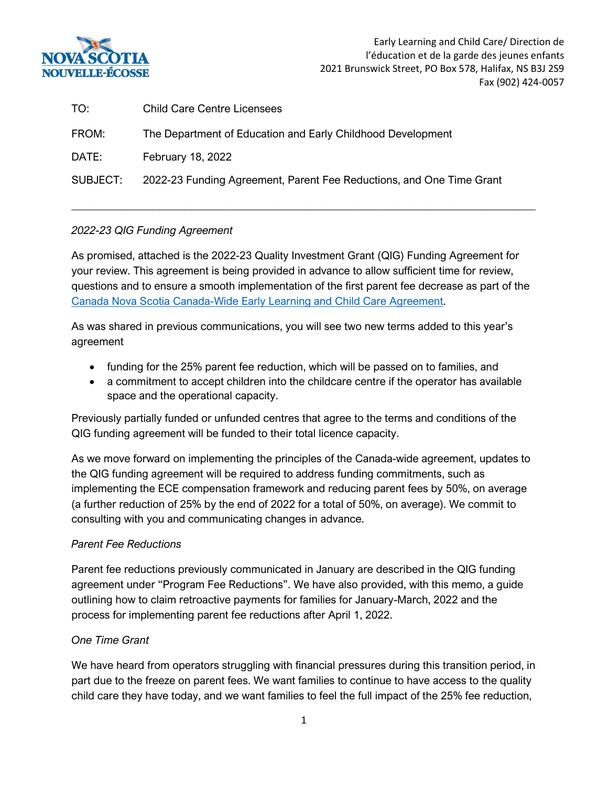

 Early Learning and Child Care/ Direction de l'éducation et de la garde des jeunes enfants 2021 Brunswick Street, PO Box 578, Halifax, NS B3J 2S9 Fax (902) 424-0057

| TO:      | <b>Child Care Centre Licensees</b>                                   |
|----------|----------------------------------------------------------------------|
| FROM:    | The Department of Education and Early Childhood Development          |
| DATE:    | <b>February 18, 2022</b>                                             |
| SUBJECT: | 2022-23 Funding Agreement, Parent Fee Reductions, and One Time Grant |

## *2022-23 QIG Funding Agreement*

As promised, attached is the 2022-23 Quality Investment Grant (QIG) Funding Agreement for your review. This agreement is being provided in advance to allow sufficient time for review, questions and to ensure a smooth implementation of the first parent fee decrease as part of the [Canada Nova Scotia Canada-Wide Early Learning and Child Care Agreement.](https://www.ednet.ns.ca/childcare)

\_\_\_\_\_\_\_\_\_\_\_\_\_\_\_\_\_\_\_\_\_\_\_\_\_\_\_\_\_\_\_\_\_\_\_\_\_\_\_\_\_\_\_\_\_\_\_\_\_\_\_\_\_\_\_\_\_\_\_\_\_\_\_\_\_\_\_\_\_\_\_\_\_\_\_\_\_\_\_\_\_\_\_\_\_

As was shared in previous communications, you will see two new terms added to this year's agreement

- funding for the 25% parent fee reduction, which will be passed on to families, and
- a commitment to accept children into the childcare centre if the operator has available space and the operational capacity.

Previously partially funded or unfunded centres that agree to the terms and conditions of the QIG funding agreement will be funded to their total licence capacity.

As we move forward on implementing the principles of the Canada-wide agreement, updates to the QIG funding agreement will be required to address funding commitments, such as implementing the ECE compensation framework and reducing parent fees by 50%, on average (a further reduction of 25% by the end of 2022 for a total of 50%, on average). We commit to consulting with you and communicating changes in advance.

## *Parent Fee Reductions*

Parent fee reductions previously communicated in January are described in the QIG funding agreement under "Program Fee Reductions". We have also provided, with this memo, a guide outlining how to claim retroactive payments for families for January-March, 2022 and the process for implementing parent fee reductions after April 1, 2022.

## *One Time Grant*

We have heard from operators struggling with financial pressures during this transition period, in part due to the freeze on parent fees. We want families to continue to have access to the quality child care they have today, and we want families to feel the full impact of the 25% fee reduction,